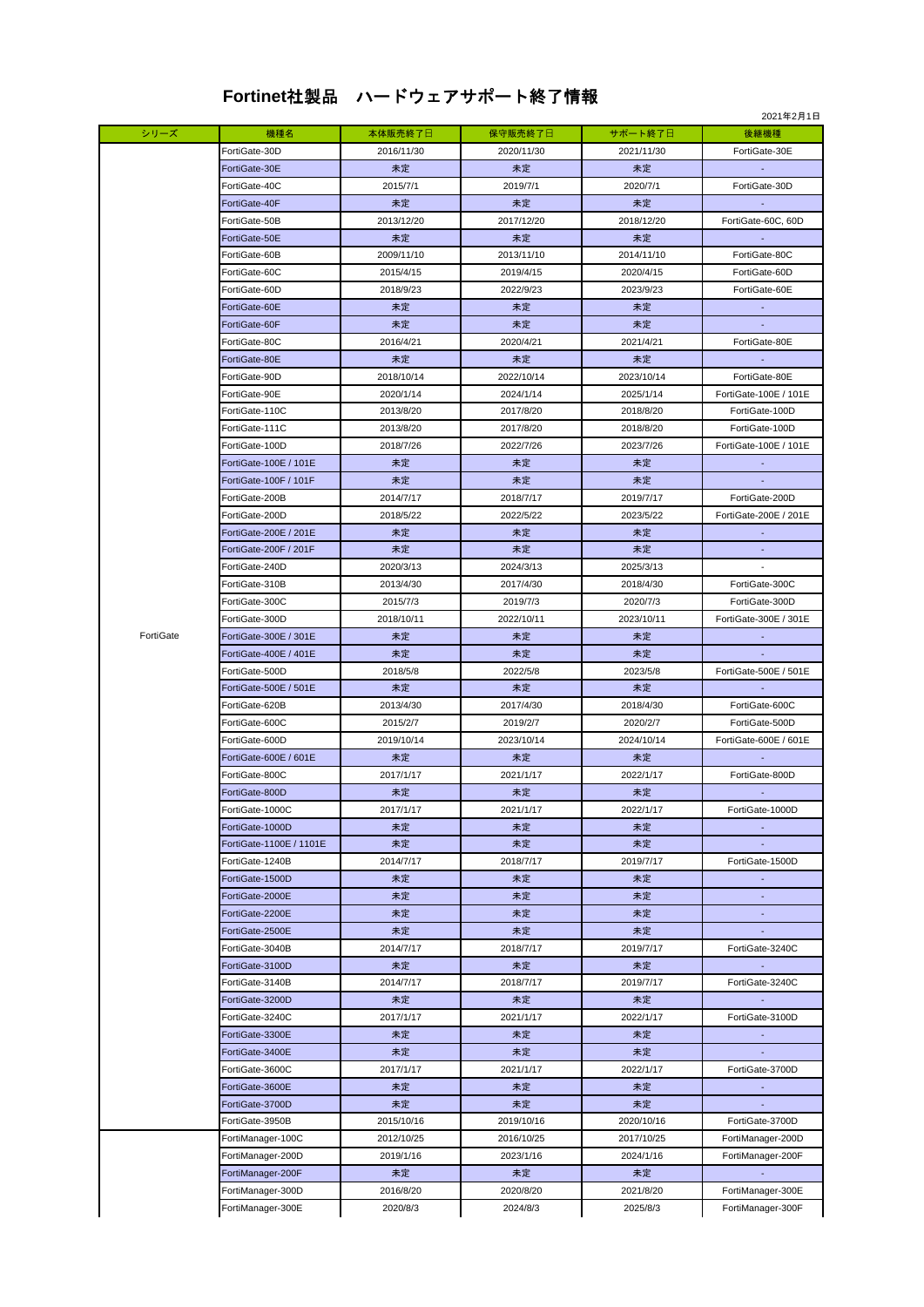## **Fortinet**社製品 ハードウェアサポート終了情報

|           |                         |            |            |            | 2021年2月1日             |
|-----------|-------------------------|------------|------------|------------|-----------------------|
| シリーズ      | 機種名                     | 本体販売終了日    | 保守販売終了日    | サポート終了日    | 後継機種                  |
|           | FortiGate-30D           | 2016/11/30 | 2020/11/30 | 2021/11/30 | FortiGate-30E         |
|           | FortiGate-30E           | 未定         | 未定         | 未定         |                       |
|           | FortiGate-40C           | 2015/7/1   | 2019/7/1   | 2020/7/1   | FortiGate-30D         |
|           | FortiGate-40F           | 未定         | 未定         | 未定         |                       |
|           | FortiGate-50B           | 2013/12/20 | 2017/12/20 | 2018/12/20 | FortiGate-60C, 60D    |
|           | FortiGate-50E           | 未定         | 未定         | 未定         |                       |
|           | FortiGate-60B           | 2009/11/10 | 2013/11/10 | 2014/11/10 | FortiGate-80C         |
|           |                         |            |            |            |                       |
|           | FortiGate-60C           | 2015/4/15  | 2019/4/15  | 2020/4/15  | FortiGate-60D         |
|           | FortiGate-60D           | 2018/9/23  | 2022/9/23  | 2023/9/23  | FortiGate-60E         |
|           | FortiGate-60E           | 未定         | 未定         | 未定         | $\sim$                |
|           | FortiGate-60F           | 未定         | 未定         | 未定         |                       |
|           | FortiGate-80C           | 2016/4/21  | 2020/4/21  | 2021/4/21  | FortiGate-80E         |
|           | FortiGate-80E           | 未定         | 未定         | 未定         |                       |
|           | FortiGate-90D           | 2018/10/14 | 2022/10/14 | 2023/10/14 | FortiGate-80E         |
|           | FortiGate-90E           | 2020/1/14  | 2024/1/14  | 2025/1/14  | FortiGate-100E / 101E |
|           | FortiGate-110C          | 2013/8/20  | 2017/8/20  | 2018/8/20  | FortiGate-100D        |
|           | FortiGate-111C          | 2013/8/20  | 2017/8/20  | 2018/8/20  | FortiGate-100D        |
|           | FortiGate-100D          | 2018/7/26  | 2022/7/26  | 2023/7/26  | FortiGate-100E / 101E |
|           | FortiGate-100E / 101E   | 未定         | 未定         | 未定         |                       |
|           | FortiGate-100F / 101F   | 未定         | 未定         | 未定         |                       |
|           | FortiGate-200B          | 2014/7/17  | 2018/7/17  | 2019/7/17  | FortiGate-200D        |
|           | FortiGate-200D          | 2018/5/22  | 2022/5/22  | 2023/5/22  | FortiGate-200E / 201E |
|           | FortiGate-200E / 201E   | 未定         | 未定         | 未定         |                       |
|           | FortiGate-200F / 201F   |            |            |            |                       |
|           |                         | 未定         | 未定         | 未定         |                       |
|           | FortiGate-240D          | 2020/3/13  | 2024/3/13  | 2025/3/13  |                       |
|           | FortiGate-310B          | 2013/4/30  | 2017/4/30  | 2018/4/30  | FortiGate-300C        |
|           | FortiGate-300C          | 2015/7/3   | 2019/7/3   | 2020/7/3   | FortiGate-300D        |
|           | FortiGate-300D          | 2018/10/11 | 2022/10/11 | 2023/10/11 | FortiGate-300E / 301E |
| FortiGate | FortiGate-300E / 301E   | 未定         | 未定         | 未定         |                       |
|           | FortiGate-400E / 401E   | 未定         | 未定         | 未定         |                       |
|           | FortiGate-500D          | 2018/5/8   | 2022/5/8   | 2023/5/8   | FortiGate-500E / 501E |
|           | FortiGate-500E / 501E   | 未定         | 未定         | 未定         |                       |
|           | FortiGate-620B          | 2013/4/30  | 2017/4/30  | 2018/4/30  | FortiGate-600C        |
|           | FortiGate-600C          | 2015/2/7   | 2019/2/7   | 2020/2/7   | FortiGate-500D        |
|           | FortiGate-600D          | 2019/10/14 | 2023/10/14 | 2024/10/14 | FortiGate-600E / 601E |
|           | FortiGate-600E / 601E   | 未定         | 未定         | 未定         |                       |
|           | FortiGate-800C          | 2017/1/17  | 2021/1/17  | 2022/1/17  | FortiGate-800D        |
|           | FortiGate-800D          | 未定         | 未定         | 未定         | $\sim$                |
|           | FortiGate-1000C         | 2017/1/17  | 2021/1/17  | 2022/1/17  | FortiGate-1000D       |
|           | FortiGate-1000D         | 未定         | 未定         | 未定         |                       |
|           | FortiGate-1100E / 1101E | 未定         | 未定         | 未定         |                       |
|           | FortiGate-1240B         | 2014/7/17  | 2018/7/17  | 2019/7/17  | FortiGate-1500D       |
|           | FortiGate-1500D         | 未定         | 未定         | 未定         | ÷                     |
|           | FortiGate-2000E         | 未定         | 未定         | 未定         |                       |
|           | FortiGate-2200E         | 未定         | 未定         | 未定         |                       |
|           | FortiGate-2500E         | 未定         | 未定         | 未定         |                       |
|           | FortiGate-3040B         | 2014/7/17  | 2018/7/17  | 2019/7/17  | FortiGate-3240C       |
|           | FortiGate-3100D         | 未定         | 未定         | 未定         |                       |
|           | FortiGate-3140B         | 2014/7/17  | 2018/7/17  | 2019/7/17  | FortiGate-3240C       |
|           | FortiGate-3200D         | 未定         | 未定         | 未定         |                       |
|           | FortiGate-3240C         | 2017/1/17  | 2021/1/17  | 2022/1/17  | FortiGate-3100D       |
|           | FortiGate-3300E         | 未定         | 未定         | 未定         | $\blacksquare$        |
|           |                         |            |            |            |                       |
|           | FortiGate-3400E         | 未定         | 未定         | 未定         |                       |
|           | FortiGate-3600C         | 2017/1/17  | 2021/1/17  | 2022/1/17  | FortiGate-3700D       |
|           | FortiGate-3600E         | 未定         | 未定         | 未定         |                       |
|           | FortiGate-3700D         | 未定         | 未定         | 未定         |                       |
|           | FortiGate-3950B         | 2015/10/16 | 2019/10/16 | 2020/10/16 | FortiGate-3700D       |
|           | FortiManager-100C       | 2012/10/25 | 2016/10/25 | 2017/10/25 | FortiManager-200D     |
|           | FortiManager-200D       | 2019/1/16  | 2023/1/16  | 2024/1/16  | FortiManager-200F     |
|           | FortiManager-200F       | 未定         | 未定         | 未定         |                       |
|           | FortiManager-300D       | 2016/8/20  | 2020/8/20  | 2021/8/20  | FortiManager-300E     |
|           | FortiManager-300E       | 2020/8/3   | 2024/8/3   | 2025/8/3   | FortiManager-300F     |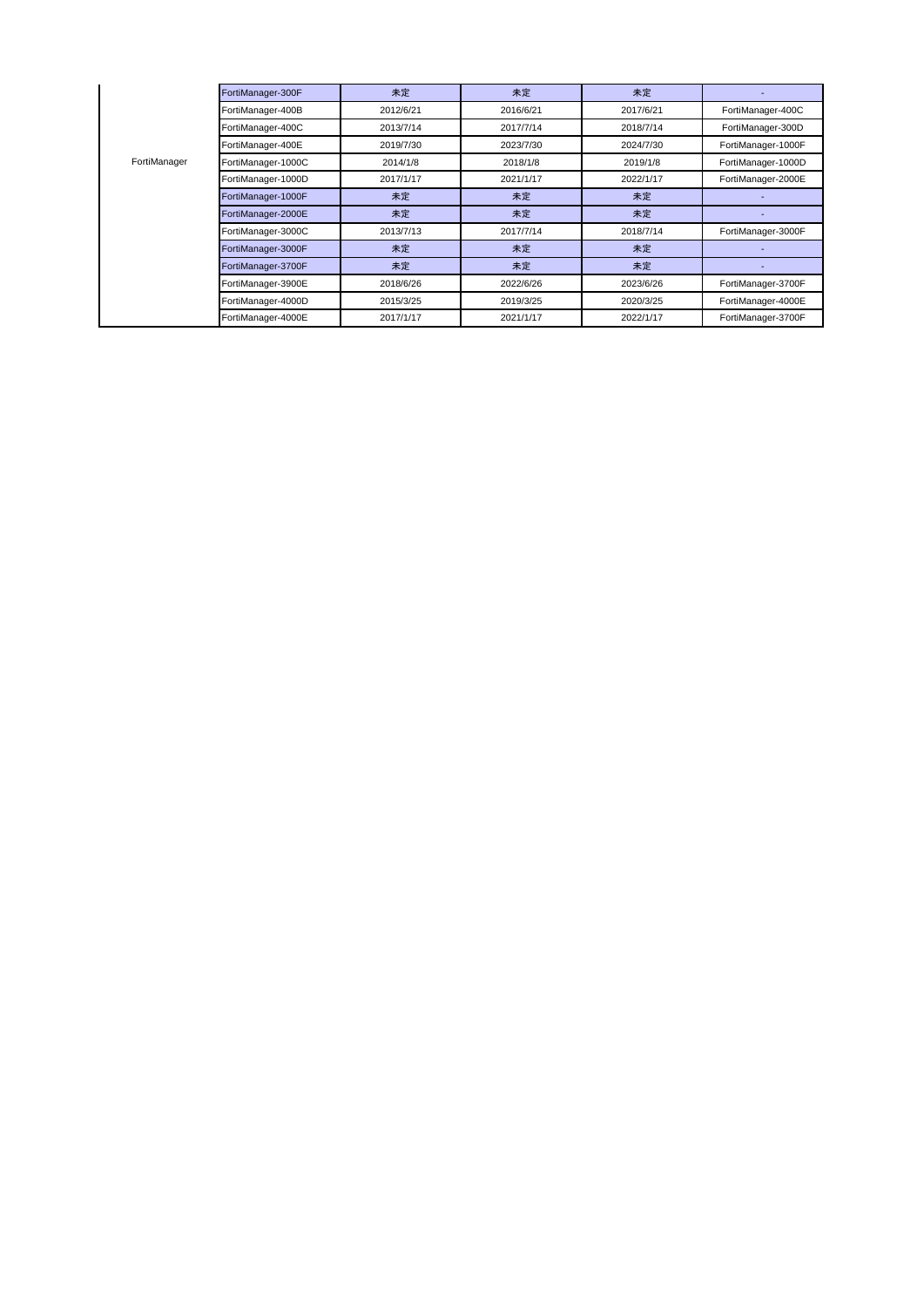|              | FortiManager-300F  | 未定        | 未定        | 未定        |                    |
|--------------|--------------------|-----------|-----------|-----------|--------------------|
| FortiManager | FortiManager-400B  | 2012/6/21 | 2016/6/21 | 2017/6/21 | FortiManager-400C  |
|              | FortiManager-400C  | 2013/7/14 | 2017/7/14 | 2018/7/14 | FortiManager-300D  |
|              | FortiManager-400E  | 2019/7/30 | 2023/7/30 | 2024/7/30 | FortiManager-1000F |
|              | FortiManager-1000C | 2014/1/8  | 2018/1/8  | 2019/1/8  | FortiManager-1000D |
|              | FortiManager-1000D | 2017/1/17 | 2021/1/17 | 2022/1/17 | FortiManager-2000E |
|              | FortiManager-1000F | 未定        | 未定        | 未定        |                    |
|              | FortiManager-2000E | 未定        | 未定        | 未定        |                    |
|              | FortiManager-3000C | 2013/7/13 | 2017/7/14 | 2018/7/14 | FortiManager-3000F |
|              | FortiManager-3000F | 未定        | 未定        | 未定        |                    |
|              | FortiManager-3700F | 未定        | 未定        | 未定        |                    |
|              | FortiManager-3900E | 2018/6/26 | 2022/6/26 | 2023/6/26 | FortiManager-3700F |
|              | FortiManager-4000D | 2015/3/25 | 2019/3/25 | 2020/3/25 | FortiManager-4000E |
|              | FortiManager-4000E | 2017/1/17 | 2021/1/17 | 2022/1/17 | FortiManager-3700F |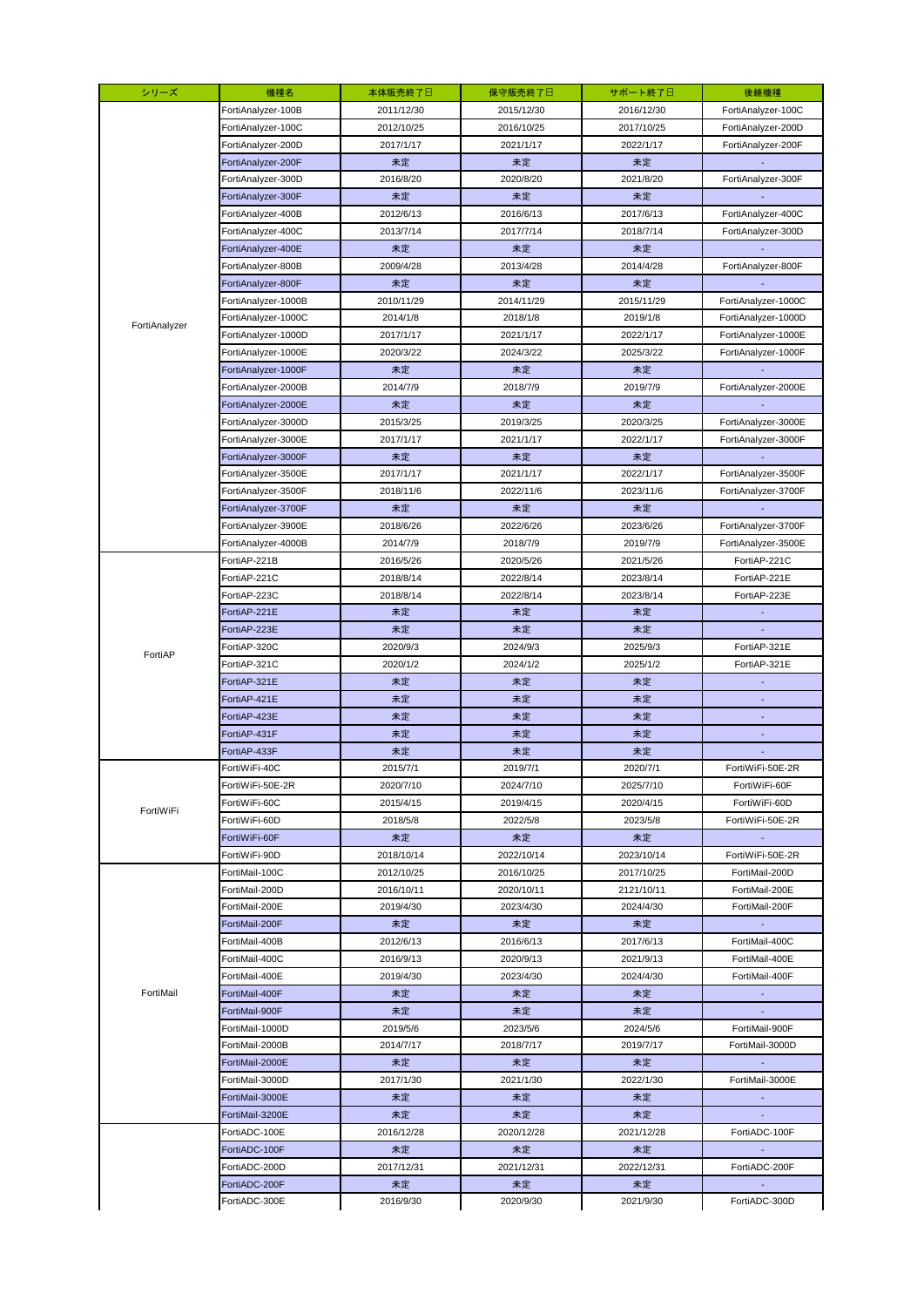| シリーズ          | 機種名                 | 本体販売終了日    | 保守販売終了日    | サポート終了日    | 後継機種                |
|---------------|---------------------|------------|------------|------------|---------------------|
|               | FortiAnalyzer-100B  | 2011/12/30 | 2015/12/30 | 2016/12/30 | FortiAnalyzer-100C  |
|               | FortiAnalyzer-100C  | 2012/10/25 | 2016/10/25 | 2017/10/25 | FortiAnalyzer-200D  |
|               | FortiAnalyzer-200D  | 2017/1/17  | 2021/1/17  | 2022/1/17  | FortiAnalyzer-200F  |
|               | FortiAnalyzer-200F  | 未定         | 未定         | 未定         |                     |
|               | FortiAnalyzer-300D  | 2016/8/20  | 2020/8/20  | 2021/8/20  | FortiAnalyzer-300F  |
|               | FortiAnalyzer-300F  | 未定         | 未定         | 未定         |                     |
|               | FortiAnalyzer-400B  | 2012/6/13  | 2016/6/13  | 2017/6/13  | FortiAnalyzer-400C  |
|               | FortiAnalyzer-400C  | 2013/7/14  | 2017/7/14  | 2018/7/14  | FortiAnalyzer-300D  |
|               | FortiAnalyzer-400E  | 未定         | 未定         | 未定         |                     |
|               | FortiAnalyzer-800B  | 2009/4/28  | 2013/4/28  | 2014/4/28  | FortiAnalyzer-800F  |
|               | FortiAnalyzer-800F  | 未定         | 未定         | 未定         |                     |
|               | FortiAnalyzer-1000B | 2010/11/29 | 2014/11/29 | 2015/11/29 | FortiAnalyzer-1000C |
|               | FortiAnalyzer-1000C | 2014/1/8   | 2018/1/8   | 2019/1/8   | FortiAnalyzer-1000D |
| FortiAnalyzer | FortiAnalyzer-1000D | 2017/1/17  | 2021/1/17  | 2022/1/17  | FortiAnalyzer-1000E |
|               | FortiAnalyzer-1000E | 2020/3/22  | 2024/3/22  | 2025/3/22  | FortiAnalyzer-1000F |
|               | FortiAnalyzer-1000F | 未定         | 未定         | 未定         |                     |
|               | FortiAnalyzer-2000B | 2014/7/9   | 2018/7/9   | 2019/7/9   | FortiAnalyzer-2000E |
|               | FortiAnalyzer-2000E | 未定         | 未定         | 未定         |                     |
|               | FortiAnalyzer-3000D | 2015/3/25  | 2019/3/25  | 2020/3/25  | FortiAnalyzer-3000E |
|               | FortiAnalyzer-3000E | 2017/1/17  | 2021/1/17  | 2022/1/17  | FortiAnalyzer-3000F |
|               | FortiAnalyzer-3000F | 未定         | 未定         | 未定         |                     |
|               | FortiAnalyzer-3500E | 2017/1/17  | 2021/1/17  | 2022/1/17  | FortiAnalyzer-3500F |
|               | FortiAnalyzer-3500F | 2018/11/6  | 2022/11/6  | 2023/11/6  | FortiAnalyzer-3700F |
|               | FortiAnalyzer-3700F | 未定         | 未定         | 未定         |                     |
|               | FortiAnalyzer-3900E | 2018/6/26  | 2022/6/26  | 2023/6/26  | FortiAnalyzer-3700F |
|               | FortiAnalyzer-4000B | 2014/7/9   | 2018/7/9   | 2019/7/9   | FortiAnalyzer-3500E |
|               | FortiAP-221B        | 2016/5/26  | 2020/5/26  | 2021/5/26  | FortiAP-221C        |
|               | FortiAP-221C        | 2018/8/14  | 2022/8/14  | 2023/8/14  | FortiAP-221E        |
|               | FortiAP-223C        | 2018/8/14  | 2022/8/14  | 2023/8/14  | FortiAP-223E        |
|               | FortiAP-221E        | 未定         | 未定         | 未定         |                     |
|               | FortiAP-223E        | 未定         | 未定         | 未定         |                     |
|               | FortiAP-320C        | 2020/9/3   | 2024/9/3   | 2025/9/3   | FortiAP-321E        |
| FortiAP       | FortiAP-321C        | 2020/1/2   | 2024/1/2   | 2025/1/2   | FortiAP-321E        |
|               | FortiAP-321E        | 未定         | 未定         | 未定         |                     |
|               | FortiAP-421E        | 未定         | 未定         | 未定         |                     |
|               | FortiAP-423E        | 未定         | 未定         | 未定         |                     |
|               | FortiAP-431F        | 未定         | 未定         | 未定         |                     |
|               | FortiAP-433F        | 未定         | 未定         | 未定         |                     |
|               | FortiWiFi-40C       | 2015/7/1   | 2019/7/1   | 2020/7/1   | FortiWiFi-50E-2R    |
|               | FortiWiFi-50E-2R    | 2020/7/10  | 2024/7/10  | 2025/7/10  | FortiWiFi-60F       |
|               | FortiWiFi-60C       | 2015/4/15  | 2019/4/15  | 2020/4/15  | FortiWiFi-60D       |
| FortiWiFi     | FortiWiFi-60D       | 2018/5/8   | 2022/5/8   | 2023/5/8   | FortiWiFi-50E-2R    |
|               | FortiWiFi-60F       | 未定         | 未定         | 未定         |                     |
|               | FortiWiFi-90D       | 2018/10/14 | 2022/10/14 | 2023/10/14 | FortiWiFi-50E-2R    |
|               | FortiMail-100C      | 2012/10/25 | 2016/10/25 | 2017/10/25 | FortiMail-200D      |
|               | FortiMail-200D      | 2016/10/11 | 2020/10/11 | 2121/10/11 | FortiMail-200E      |
|               | FortiMail-200E      | 2019/4/30  | 2023/4/30  | 2024/4/30  | FortiMail-200F      |
|               | FortiMail-200F      | 未定         | 未定         | 未定         |                     |
|               | FortiMail-400B      | 2012/6/13  | 2016/6/13  | 2017/6/13  | FortiMail-400C      |
|               | FortiMail-400C      | 2016/9/13  | 2020/9/13  | 2021/9/13  | FortiMail-400E      |
| FortiMail     | FortiMail-400E      | 2019/4/30  | 2023/4/30  | 2024/4/30  | FortiMail-400F      |
|               | FortiMail-400F      | 未定         | 未定         | 未定         |                     |
|               | FortiMail-900F      | 未定         | 未定         | 未定         |                     |
|               | FortiMail-1000D     | 2019/5/6   | 2023/5/6   | 2024/5/6   | FortiMail-900F      |
|               | FortiMail-2000B     | 2014/7/17  | 2018/7/17  | 2019/7/17  | FortiMail-3000D     |
|               | FortiMail-2000E     | 未定         | 未定         | 未定         |                     |
|               | FortiMail-3000D     | 2017/1/30  | 2021/1/30  | 2022/1/30  | FortiMail-3000E     |
|               | FortiMail-3000E     | 未定         | 未定         | 未定         | $\sim$              |
|               | FortiMail-3200E     | 未定         | 未定         | 未定         | $\sim$              |
|               | FortiADC-100E       | 2016/12/28 | 2020/12/28 | 2021/12/28 | FortiADC-100F       |
|               | FortiADC-100F       | 未定         | 未定         | 未定         |                     |
|               | FortiADC-200D       | 2017/12/31 | 2021/12/31 | 2022/12/31 | FortiADC-200F       |
|               | FortiADC-200F       | 未定         | 未定         | 未定         | $\sim$              |
|               | FortiADC-300E       | 2016/9/30  | 2020/9/30  | 2021/9/30  | FortiADC-300D       |